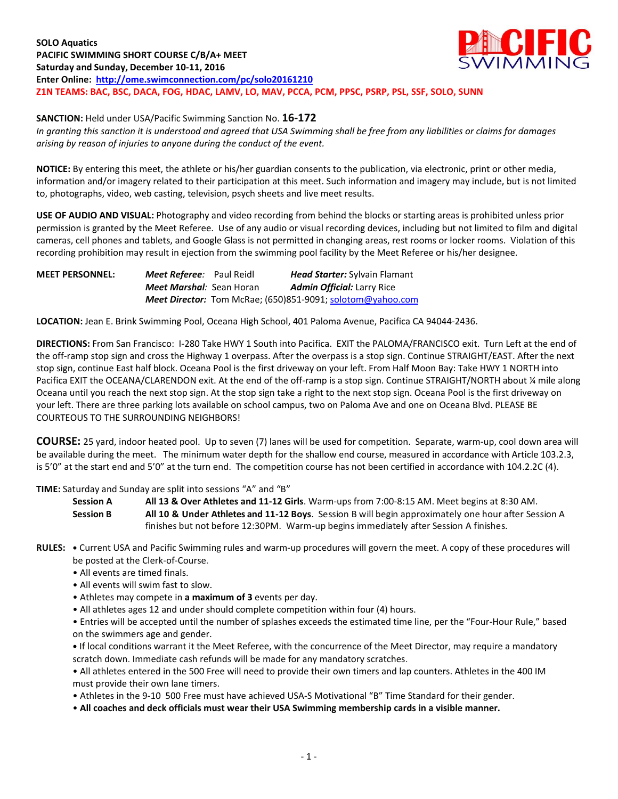

**SANCTION:** Held under USA/Pacific Swimming Sanction No. **16-172**

*In granting this sanction it is understood and agreed that USA Swimming shall be free from any liabilities or claims for damages arising by reason of injuries to anyone during the conduct of the event.*

**NOTICE:** By entering this meet, the athlete or his/her guardian consents to the publication, via electronic, print or other media, information and/or imagery related to their participation at this meet. Such information and imagery may include, but is not limited to, photographs, video, web casting, television, psych sheets and live meet results.

**USE OF AUDIO AND VISUAL:** Photography and video recording from behind the blocks or starting areas is prohibited unless prior permission is granted by the Meet Referee. Use of any audio or visual recording devices, including but not limited to film and digital cameras, cell phones and tablets, and Google Glass is not permitted in changing areas, rest rooms or locker rooms. Violation of this recording prohibition may result in ejection from the swimming pool facility by the Meet Referee or his/her designee.

**MEET PERSONNEL:** *Meet Referee:* Paul Reidl *Head Starter:* Sylvain Flamant *Meet Marshal:* Sean Horan *Admin Official:* Larry Rice *Meet Director:* Tom McRae; (650)851-9091; [solotom@yahoo.com](mailto:solotom@yahoo.com)

**LOCATION:** Jean E. Brink Swimming Pool, Oceana High School, 401 Paloma Avenue, Pacifica CA 94044-2436.

**DIRECTIONS:** From San Francisco: I-280 Take HWY 1 South into Pacifica. EXIT the PALOMA/FRANCISCO exit. Turn Left at the end of the off-ramp stop sign and cross the Highway 1 overpass. After the overpass is a stop sign. Continue STRAIGHT/EAST. After the next stop sign, continue East half block. Oceana Pool is the first driveway on your left. From Half Moon Bay: Take HWY 1 NORTH into Pacifica EXIT the OCEANA/CLARENDON exit. At the end of the off-ramp is a stop sign. Continue STRAIGHT/NORTH about ¼ mile along Oceana until you reach the next stop sign. At the stop sign take a right to the next stop sign. Oceana Pool is the first driveway on your left. There are three parking lots available on school campus, two on Paloma Ave and one on Oceana Blvd. PLEASE BE COURTEOUS TO THE SURROUNDING NEIGHBORS!

**COURSE:** 25 yard, indoor heated pool. Up to seven (7) lanes will be used for competition. Separate, warm-up, cool down area will be available during the meet. The minimum water depth for the shallow end course, measured in accordance with Article 103.2.3, is 5'0" at the start end and 5'0" at the turn end. The competition course has not been certified in accordance with 104.2.2C (4).

**TIME:** Saturday and Sunday are split into sessions "A" and "B"

**Session A All 13 & Over Athletes and 11-12 Girls**. Warm-ups from 7:00-8:15 AM. Meet begins at 8:30 AM. **Session B All 10 & Under Athletes and 11-12 Boys**. Session B will begin approximately one hour after Session A finishes but not before 12:30PM. Warm-up begins immediately after Session A finishes.

- **RULES: •** Current USA and Pacific Swimming rules and warm-up procedures will govern the meet. A copy of these procedures will be posted at the Clerk-of-Course.
	- All events are timed finals.
	- All events will swim fast to slow.
	- Athletes may compete in **a maximum of 3** events per day.
	- All athletes ages 12 and under should complete competition within four (4) hours.

• Entries will be accepted until the number of splashes exceeds the estimated time line, per the "Four-Hour Rule," based on the swimmers age and gender.

**•** If local conditions warrant it the Meet Referee, with the concurrence of the Meet Director, may require a mandatory scratch down. Immediate cash refunds will be made for any mandatory scratches.

• All athletes entered in the 500 Free will need to provide their own timers and lap counters. Athletes in the 400 IM must provide their own lane timers.

• Athletes in the 9-10 500 Free must have achieved USA-S Motivational "B" Time Standard for their gender.

• **All coaches and deck officials must wear their USA Swimming membership cards in a visible manner.**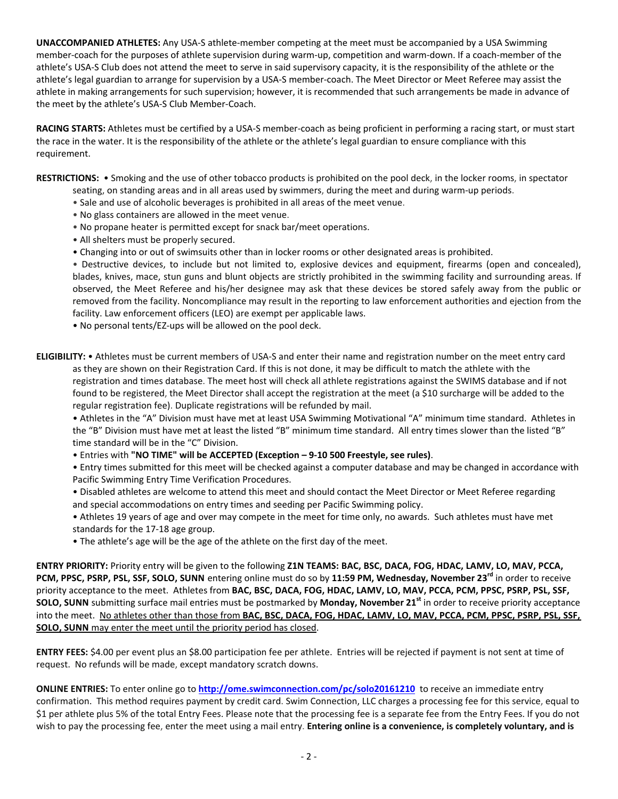**UNACCOMPANIED ATHLETES:** Any USA-S athlete-member competing at the meet must be accompanied by a USA Swimming member-coach for the purposes of athlete supervision during warm-up, competition and warm-down. If a coach-member of the athlete's USA-S Club does not attend the meet to serve in said supervisory capacity, it is the responsibility of the athlete or the athlete's legal guardian to arrange for supervision by a USA-S member-coach. The Meet Director or Meet Referee may assist the athlete in making arrangements for such supervision; however, it is recommended that such arrangements be made in advance of the meet by the athlete's USA-S Club Member-Coach.

**RACING STARTS:** Athletes must be certified by a USA-S member-coach as being proficient in performing a racing start, or must start the race in the water. It is the responsibility of the athlete or the athlete's legal guardian to ensure compliance with this requirement.

**RESTRICTIONS:** • Smoking and the use of other tobacco products is prohibited on the pool deck, in the locker rooms, in spectator seating, on standing areas and in all areas used by swimmers, during the meet and during warm-up periods.

- Sale and use of alcoholic beverages is prohibited in all areas of the meet venue.
- No glass containers are allowed in the meet venue.
- No propane heater is permitted except for snack bar/meet operations.
- All shelters must be properly secured.
- Changing into or out of swimsuits other than in locker rooms or other designated areas is prohibited.

• Destructive devices, to include but not limited to, explosive devices and equipment, firearms (open and concealed), blades, knives, mace, stun guns and blunt objects are strictly prohibited in the swimming facility and surrounding areas. If observed, the Meet Referee and his/her designee may ask that these devices be stored safely away from the public or removed from the facility. Noncompliance may result in the reporting to law enforcement authorities and ejection from the facility. Law enforcement officers (LEO) are exempt per applicable laws.

- No personal tents/EZ-ups will be allowed on the pool deck.
- **ELIGIBILITY:** Athletes must be current members of USA-S and enter their name and registration number on the meet entry card as they are shown on their Registration Card. If this is not done, it may be difficult to match the athlete with the registration and times database. The meet host will check all athlete registrations against the SWIMS database and if not found to be registered, the Meet Director shall accept the registration at the meet (a \$10 surcharge will be added to the regular registration fee). Duplicate registrations will be refunded by mail.

• Athletes in the "A" Division must have met at least USA Swimming Motivational "A" minimum time standard. Athletes in the "B" Division must have met at least the listed "B" minimum time standard. All entry times slower than the listed "B" time standard will be in the "C" Division.

• Entries with **"NO TIME" will be ACCEPTED (Exception – 9-10 500 Freestyle, see rules)**.

• Entry times submitted for this meet will be checked against a computer database and may be changed in accordance with Pacific Swimming Entry Time Verification Procedures.

- Disabled athletes are welcome to attend this meet and should contact the Meet Director or Meet Referee regarding and special accommodations on entry times and seeding per Pacific Swimming policy.
- Athletes 19 years of age and over may compete in the meet for time only, no awards. Such athletes must have met standards for the 17-18 age group.
- The athlete's age will be the age of the athlete on the first day of the meet.

**ENTRY PRIORITY:** Priority entry will be given to the following **Z1N TEAMS: BAC, BSC, DACA, FOG, HDAC, LAMV, LO, MAV, PCCA, PCM, PPSC, PSRP, PSL, SSF, SOLO, SUNN** entering online must do so by **11:59 PM, Wednesday, November 23 rd** in order to receive priority acceptance to the meet. Athletes from **BAC, BSC, DACA, FOG, HDAC, LAMV, LO, MAV, PCCA, PCM, PPSC, PSRP, PSL, SSF, SOLO, SUNN** submitting surface mail entries must be postmarked by **Monday, November 21 st** in order to receive priority acceptance into the meet. No athletes other than those from **BAC, BSC, DACA, FOG, HDAC, LAMV, LO, MAV, PCCA, PCM, PPSC, PSRP, PSL, SSF, SOLO, SUNN** may enter the meet until the priority period has closed.

**ENTRY FEES:** \$4.00 per event plus an \$8.00 participation fee per athlete. Entries will be rejected if payment is not sent at time of request. No refunds will be made, except mandatory scratch downs.

**ONLINE ENTRIES:** To enter online go to **<http://ome.swimconnection.com/pc/solo20161210>** to receive an immediate entry confirmation. This method requires payment by credit card. Swim Connection, LLC charges a processing fee for this service, equal to \$1 per athlete plus 5% of the total Entry Fees. Please note that the processing fee is a separate fee from the Entry Fees. If you do not wish to pay the processing fee, enter the meet using a mail entry. **Entering online is a convenience, is completely voluntary, and is**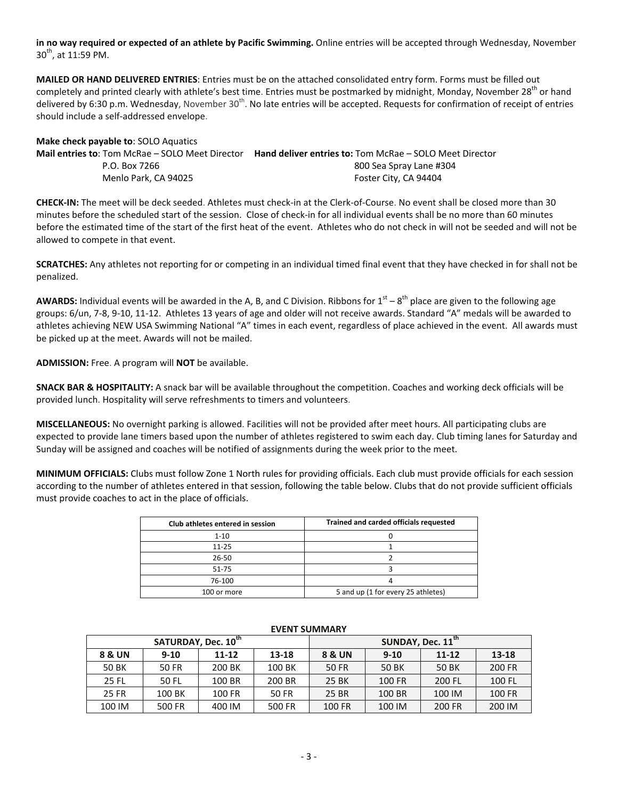**in no way required or expected of an athlete by Pacific Swimming.** Online entries will be accepted through Wednesday, November  $30^{th}$ , at 11:59 PM.

**MAILED OR HAND DELIVERED ENTRIES**: Entries must be on the attached consolidated entry form. Forms must be filled out completely and printed clearly with athlete's best time. Entries must be postmarked by midnight, Monday, November 28<sup>th</sup> or hand delivered by 6:30 p.m. Wednesday, November 30<sup>th</sup>. No late entries will be accepted. Requests for confirmation of receipt of entries should include a self-addressed envelope.

| <b>IVIAKE CHECK DAVABLE TO:</b> SOLO AQUATICS          |                                                                |
|--------------------------------------------------------|----------------------------------------------------------------|
| <b>Mail entries to: Tom McRae – SOLO Meet Director</b> | <b>Hand deliver entries to: Tom McRae - SOLO Meet Director</b> |
| P.O. Box 7266                                          | 800 Sea Spray Lane #304                                        |
| Menlo Park. CA 94025                                   | Foster City, CA 94404                                          |
|                                                        |                                                                |

**CHECK-IN:** The meet will be deck seeded. Athletes must check-in at the Clerk-of-Course. No event shall be closed more than 30 minutes before the scheduled start of the session. Close of check-in for all individual events shall be no more than 60 minutes before the estimated time of the start of the first heat of the event. Athletes who do not check in will not be seeded and will not be allowed to compete in that event.

**SCRATCHES:** Any athletes not reporting for or competing in an individual timed final event that they have checked in for shall not be penalized.

AWARDS: Individual events will be awarded in the A, B, and C Division. Ribbons for 1<sup>st</sup> – 8<sup>th</sup> place are given to the following age groups: 6/un, 7-8, 9-10, 11-12. Athletes 13 years of age and older will not receive awards. Standard "A" medals will be awarded to athletes achieving NEW USA Swimming National "A" times in each event, regardless of place achieved in the event. All awards must be picked up at the meet. Awards will not be mailed.

**ADMISSION:** Free. A program will **NOT** be available.

**Make check payable to**: SOLO Aquatics

**SNACK BAR & HOSPITALITY:** A snack bar will be available throughout the competition. Coaches and working deck officials will be provided lunch. Hospitality will serve refreshments to timers and volunteers.

**MISCELLANEOUS:** No overnight parking is allowed. Facilities will not be provided after meet hours. All participating clubs are expected to provide lane timers based upon the number of athletes registered to swim each day. Club timing lanes for Saturday and Sunday will be assigned and coaches will be notified of assignments during the week prior to the meet.

**MINIMUM OFFICIALS:** Clubs must follow Zone 1 North rules for providing officials. Each club must provide officials for each session according to the number of athletes entered in that session, following the table below. Clubs that do not provide sufficient officials must provide coaches to act in the place of officials.

| Club athletes entered in session | Trained and carded officials requested |
|----------------------------------|----------------------------------------|
| $1 - 10$                         |                                        |
| $11 - 25$                        |                                        |
| $26 - 50$                        |                                        |
| $51 - 75$                        |                                        |
| 76-100                           |                                        |
| 100 or more                      | 5 and up (1 for every 25 athletes)     |

|                   | SATURDAY, Dec. 10 <sup>th</sup> |           |        | SUNDAY, Dec. 11 <sup>th</sup> |          |           |               |  |  |
|-------------------|---------------------------------|-----------|--------|-------------------------------|----------|-----------|---------------|--|--|
| <b>8 &amp; UN</b> | $9-10$                          | $11 - 12$ | 13-18  | <b>8 &amp; UN</b>             | $9 - 10$ | $11 - 12$ | 13-18         |  |  |
| 50 BK             | 50 FR                           | 200 BK    | 100 BK | 50 FR                         | 50 BK    | 50 BK     | 200 FR        |  |  |
| <b>25 FL</b>      | 50 FL                           | 100 BR    | 200 BR | 25 BK                         | 100 FR   | 200 FL    | 100 FL        |  |  |
| 25 FR             | 100 BK                          | 100 FR    | 50 FR  | 25 BR                         | 100 BR   | 100 IM    | <b>100 FR</b> |  |  |
| 100 IM            | 500 FR                          | 400 IM    | 500 FR | 100 FR                        | 100 IM   | 200 FR    | 200 IM        |  |  |

## **EVENT SUMMARY**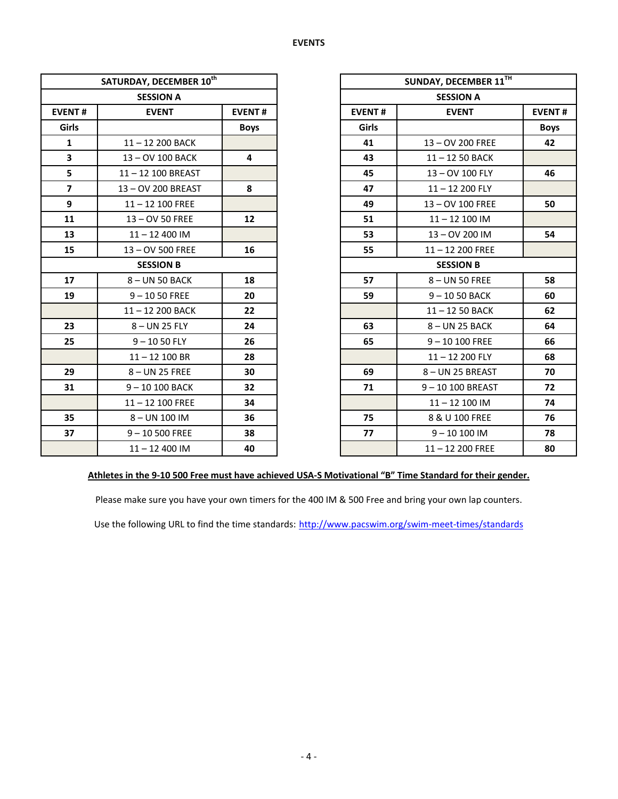|                         | SATURDAY, DECEMBER 10th |               |               | <b>SUNDAY, DECEMBER</b> |
|-------------------------|-------------------------|---------------|---------------|-------------------------|
|                         | <b>SESSION A</b>        |               |               | <b>SESSION A</b>        |
| <b>EVENT#</b>           | <b>EVENT</b>            | <b>EVENT#</b> | <b>EVENT#</b> | <b>EVENT</b>            |
| Girls                   |                         | <b>Boys</b>   | Girls         |                         |
| $\mathbf{1}$            | 11-12 200 BACK          |               | 41            | 13-OV 200 FREE          |
| 3                       | 13-OV 100 BACK          | 4             | 43            | 11-12 50 BACK           |
| 5                       | 11-12 100 BREAST        |               | 45            | 13-OV 100 FLY           |
| $\overline{\mathbf{z}}$ | 13-OV 200 BREAST        | 8             | 47            | 11-12 200 FLY           |
| 9                       | $11 - 12$ 100 FREE      |               | 49            | 13-OV 100 FREE          |
| 11                      | 13 - OV 50 FREE         | 12            | 51            | $11 - 12100$ IM         |
| 13                      | $11 - 12400$ IM         |               | 53            | 13-OV 200 IM            |
| 15                      | 13 - OV 500 FREE        | 16            | 55            | $11 - 12200$ FREE       |
|                         | <b>SESSION B</b>        |               |               | <b>SESSION B</b>        |
| 17                      | 8-UN 50 BACK            | 18            | 57            | 8-UN 50 FREE            |
| 19                      | $9 - 1050$ FREE         | 20            | 59            | $9 - 1050$ BACK         |
|                         | 11-12 200 BACK          | 22            |               | 11-12 50 BACK           |
| 23                      | 8-UN 25 FLY             | 24            | 63            | 8-UN 25 BACK            |
| 25                      | $9 - 1050$ FLY          | 26            | 65            | $9 - 10100$ FREE        |
|                         | $11 - 12$ 100 BR        | 28            |               | 11-12 200 FLY           |
| 29                      | 8-UN 25 FREE            | 30            | 69            | 8- UN 25 BREAST         |
| 31                      | 9-10 100 BACK           | 32            | 71            | 9-10 100 BREAS          |
|                         | $11 - 12$ 100 FREE      | 34            |               | $11 - 12100$ IM         |
| 35                      | 8-UN 100 IM             | 36            | 75            | 8 & U 100 FREE          |
| 37                      | $9 - 10500$ FREE        | 38            | 77            | $9 - 10100$ IM          |
|                         | $11 - 12400$ IM         | 40            |               | $11 - 12200$ FREE       |

|                | SATURDAY, DECEMBER 10th |               |       | SUNDAY, DECEMBER 11TH         |             |  |
|----------------|-------------------------|---------------|-------|-------------------------------|-------------|--|
|                | <b>SESSION A</b>        |               |       | <b>SESSION A</b>              |             |  |
| <b>EVENT#</b>  | <b>EVENT</b>            | <b>EVENT#</b> |       | <b>EVENT#</b><br><b>EVENT</b> |             |  |
| Girls          |                         | <b>Boys</b>   | Girls |                               | <b>Boys</b> |  |
| $\mathbf{1}$   | 11-12 200 BACK          |               | 41    | 13-OV 200 FREE                | 42          |  |
| $\mathbf{3}$   | 13-OV 100 BACK          | 4             | 43    | 11-12 50 BACK                 |             |  |
| 5              | 11-12 100 BREAST        |               | 45    | 13-OV 100 FLY                 | 46          |  |
| $\overline{7}$ | 13-OV 200 BREAST        | 8             | 47    | $11 - 12200$ FLY              |             |  |
| 9              | $11 - 12$ 100 FREE      |               | 49    | 13-OV 100 FREE                | 50          |  |
| 11             | 13-OV 50 FREE           | 12            | 51    | $11 - 12$ 100 IM              |             |  |
| 13             | $11 - 12400$ IM         |               | 53    | 13 - OV 200 IM                | 54          |  |
| 15             | 13 - OV 500 FREE        | 16            | 55    | $11 - 12200$ FREE             |             |  |
|                | <b>SESSION B</b>        |               |       | <b>SESSION B</b>              |             |  |
| 17             | 8-UN 50 BACK            | 18            | 57    | 8-UN 50 FREE                  | 58          |  |
| 19             | $9 - 1050$ FREE         | 20            | 59    | $9 - 1050$ BACK               | 60          |  |
|                | 11-12 200 BACK          | 22            |       | 11-12 50 BACK                 | 62          |  |
| 23             | $8 - UN$ 25 FLY         | 24            | 63    | 8-UN 25 BACK                  | 64          |  |
| 25             | $9 - 1050$ FLY          | 26            | 65    | $9 - 10100$ FREE              | 66          |  |
|                | $11 - 12$ 100 BR        | 28            |       | 11-12 200 FLY                 | 68          |  |
| 29             | 8-UN 25 FREE            | 30            | 69    | 8-UN 25 BREAST                | 70          |  |
| 31             | 9-10 100 BACK           | 32            | 71    | 9-10 100 BREAST               | 72          |  |
|                | $11 - 12$ 100 FREE      | 34            |       | $11 - 12100$ IM               | 74          |  |
| 35             | 8-UN 100 IM             | 36            | 75    | 8 & U 100 FREE                | 76          |  |
| 37             | $9 - 10500$ FREE        | 38            | 77    | $9 - 10100$ IM                | 78          |  |
|                | $11 - 12400$ IM         | 40            |       | $11 - 12200$ FREE             | 80          |  |

## **Athletes in the 9-10 500 Free must have achieved USA-S Motivational "B" Time Standard for their gender.**

Please make sure you have your own timers for the 400 IM & 500 Free and bring your own lap counters.

Use the following URL to find the time standards: <http://www.pacswim.org/swim-meet-times/standards>